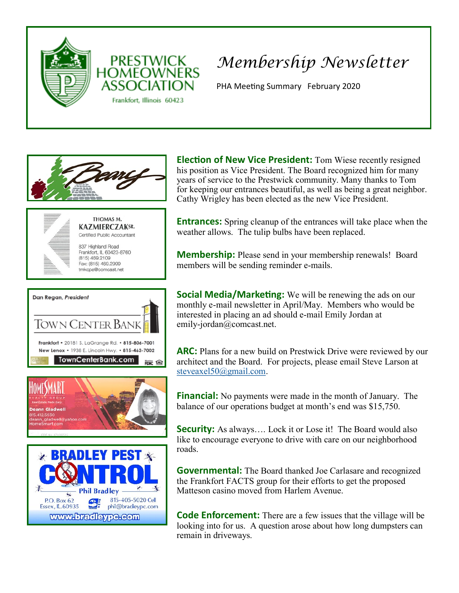



## *Membership Newsletter*

PHA Meeting Summary February 2020



**Election of New Vice President:** Tom Wiese recently resigned his position as Vice President. The Board recognized him for many years of service to the Prestwick community. Many thanks to Tom for keeping our entrances beautiful, as well as being a great neighbor. Cathy Wrigley has been elected as the new Vice President.

**Entrances:** Spring cleanup of the entrances will take place when the weather allows. The tulip bulbs have been replaced.

**Membership:** Please send in your membership renewals! Board members will be sending reminder e-mails.

**Social Media/Marketing:** We will be renewing the ads on our monthly e-mail newsletter in April/May. Members who would be interested in placing an ad should e-mail Emily Jordan at emily-jordan@comcast.net.

**ARC:** Plans for a new build on Prestwick Drive were reviewed by our architect and the Board. For projects, please email Steve Larson at [steveaxel50@gmail.com.](mailto:steveaxel50@gmail.com)

**Financial:** No payments were made in the month of January. The balance of our operations budget at month's end was \$15,750.

**Security:** As always.... Lock it or Lose it! The Board would also like to encourage everyone to drive with care on our neighborhood roads.

**Governmental:** The Board thanked Joe Carlasare and recognized the Frankfort FACTS group for their efforts to get the proposed Matteson casino moved from Harlem Avenue.

**Code Enforcement:** There are a few issues that the village will be looking into for us. A question arose about how long dumpsters can remain in driveways.